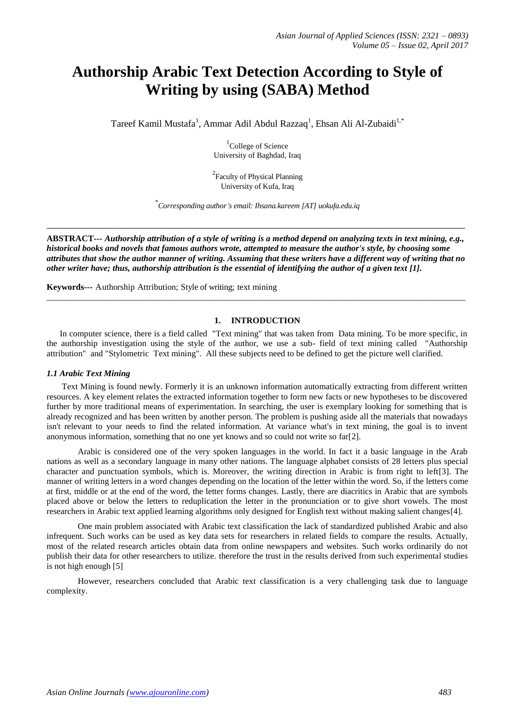# **Authorship Arabic Text Detection According to Style of Writing by using (SABA) Method**

Tareef Kamil Mustafa<sup>1</sup>, Ammar Adil Abdul Razzaq<sup>1</sup>, Ehsan Ali Al-Zubaidi<sup>1,\*</sup>

<sup>1</sup>College of Science University of Baghdad, Iraq

<sup>2</sup> Faculty of Physical Planning University of Kufa, Iraq

\* *Corresponding author's email: Ihsana.kareem [AT] uokufa.edu.iq*

**ABSTRACT---** *Authorship attribution of a style of writing is a method depend on analyzing texts in text mining, e.g., historical books and novels that famous authors wrote, attempted to measure the author's style, by choosing some attributes that show the author manner of writing. Assuming that these writers have a different way of writing that no other writer have; thus, authorship attribution is the essential of identifying the author of a given text [1].*

\_\_\_\_\_\_\_\_\_\_\_\_\_\_\_\_\_\_\_\_\_\_\_\_\_\_\_\_\_\_\_\_\_\_\_\_\_\_\_\_\_\_\_\_\_\_\_\_\_\_\_\_\_\_\_\_\_\_\_\_\_\_\_\_\_\_\_\_\_\_\_\_\_\_\_\_\_\_\_\_\_\_\_\_\_\_\_\_\_\_\_\_\_\_\_\_\_\_\_\_\_\_\_\_\_\_\_\_

**Keywords---** Authorship Attribution; Style of writing; text mining

## **1. INTRODUCTION**

\_\_\_\_\_\_\_\_\_\_\_\_\_\_\_\_\_\_\_\_\_\_\_\_\_\_\_\_\_\_\_\_\_\_\_\_\_\_\_\_\_\_\_\_\_\_\_\_\_\_\_\_\_\_\_\_\_\_\_\_\_\_\_\_\_\_\_\_\_\_\_\_\_\_\_\_\_\_\_\_\_\_\_\_\_\_\_\_\_\_\_\_\_\_\_\_\_

 In computer science, there is a field called "Text mining" that was taken from Data mining. To be more specific, in the authorship investigation using the style of the author, we use a sub- field of text mining called "Authorship attribution" and "Stylometric Text mining". All these subjects need to be defined to get the picture well clarified.

## *1.1 Arabic Text Mining*

 Text Mining is found newly. Formerly it is an unknown information automatically extracting from different written resources. A key element relates the extracted information together to form new facts or new hypotheses to be discovered further by more traditional means of experimentation. In searching, the user is exemplary looking for something that is already recognized and has been written by another person. The problem is pushing aside all the materials that nowadays isn't relevant to your needs to find the related information. At variance what's in text mining, the goal is to invent anonymous information, something that no one yet knows and so could not write so far[2].

Arabic is considered one of the very spoken languages in the world. In fact it a basic language in the Arab nations as well as a secondary language in many other nations. The language alphabet consists of 28 letters plus special character and punctuation symbols, which is. Moreover, the writing direction in Arabic is from right to left[3]. The manner of writing letters in a word changes depending on the location of the letter within the word. So, if the letters come at first, middle or at the end of the word, the letter forms changes. Lastly, there are diacritics in Arabic that are symbols placed above or below the letters to reduplication the letter in the pronunciation or to give short vowels. The most researchers in Arabic text applied learning algorithms only designed for English text without making salient changes[4].

One main problem associated with Arabic text classification the lack of standardized published Arabic and also infrequent. Such works can be used as key data sets for researchers in related fields to compare the results. Actually, most of the related research articles obtain data from online newspapers and websites. Such works ordinarily do not publish their data for other researchers to utilize. therefore the trust in the results derived from such experimental studies is not high enough [5]

However, researchers concluded that Arabic text classification is a very challenging task due to language complexity.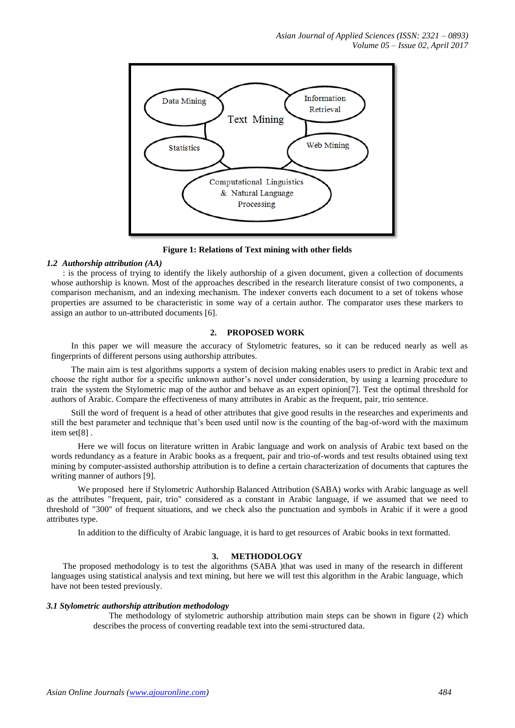

**Figure 1: Relations of Text mining with other fields**

## *1.2 Authorship attribution (AA)*

: is the process of trying to identify the likely authorship of a given document, given a collection of documents whose authorship is known. Most of the approaches described in the research literature consist of two components, a comparison mechanism, and an indexing mechanism. The indexer converts each document to a set of tokens whose properties are assumed to be characteristic in some way of a certain author. The comparator uses these markers to assign an author to un-attributed documents [6].

## **2. PROPOSED WORK**

In this paper we will measure the accuracy of Stylometric features, so it can be reduced nearly as well as fingerprints of different persons using authorship attributes.

The main aim is test algorithms supports a system of decision making enables users to predict in Arabic text and choose the right author for a specific unknown author's novel under consideration, by using a learning procedure to train the system the Stylometric map of the author and behave as an expert opinion[7]. Test the optimal threshold for authors of Arabic. Compare the effectiveness of many attributes in Arabic as the frequent, pair, trio sentence.

Still the word of frequent is a head of other attributes that give good results in the researches and experiments and still the best parameter and technique that's been used until now is the counting of the bag-of-word with the maximum item set[8] .

Here we will focus on literature written in Arabic language and work on analysis of Arabic text based on the words redundancy as a feature in Arabic books as a frequent, pair and trio-of-words and test results obtained using text mining by computer-assisted authorship attribution is to define a certain characterization of documents that captures the writing manner of authors [9].

We proposed here if Stylometric Authorship Balanced Attribution (SABA) works with Arabic language as well as the attributes "frequent, pair, trio" considered as a constant in Arabic language, if we assumed that we need to threshold of "300" of frequent situations, and we check also the punctuation and symbols in Arabic if it were a good attributes type.

In addition to the difficulty of Arabic language, it is hard to get resources of Arabic books in text formatted.

## **3. METHODOLOGY**

The proposed methodology is to test the algorithms (SABA )that was used in many of the research in different languages using statistical analysis and text mining, but here we will test this algorithm in the Arabic language, which have not been tested previously.

## *3.1 Stylometric authorship attribution methodology*

The methodology of stylometric authorship attribution main steps can be shown in figure (2) which describes the process of converting readable text into the semi-structured data.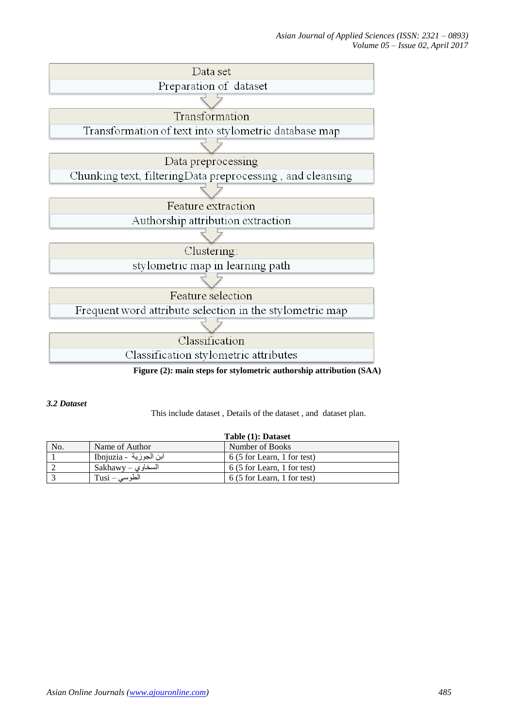

# *3.2 Dataset*

This include dataset , Details of the dataset , and dataset plan.

|     | Table (1): Dataset      |                             |  |  |  |  |  |
|-----|-------------------------|-----------------------------|--|--|--|--|--|
| No. | Name of Author          | Number of Books             |  |  |  |  |  |
|     | ابن الجوزية  - Ibnjuzia | 6 (5 for Learn, 1 for test) |  |  |  |  |  |
|     | السخاوي – Sakhawy       | 6 (5 for Learn, 1 for test) |  |  |  |  |  |
|     | $Tusi -$ الطوسى         | 6 (5 for Learn, 1 for test) |  |  |  |  |  |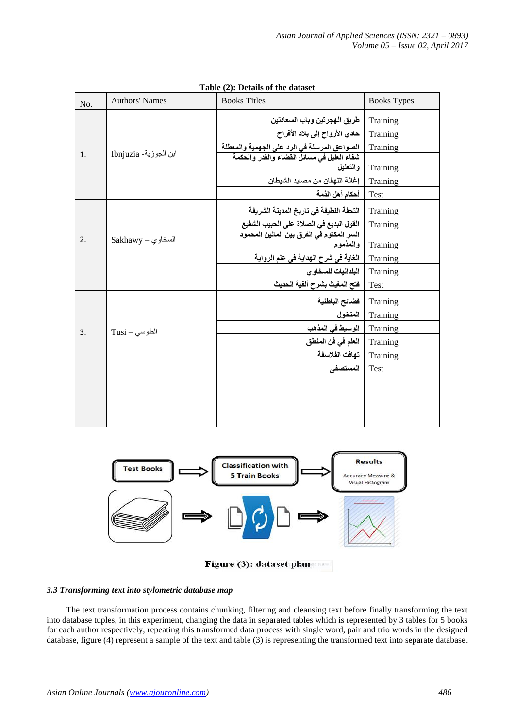| No. | <b>Authors' Names</b> | rabic $\mathcal{L}_l$ . Details of the dataset<br><b>Books Titles</b> | <b>Books Types</b> |
|-----|-----------------------|-----------------------------------------------------------------------|--------------------|
|     |                       | طريق الهجرتين وباب السعادتين                                          | Training           |
|     |                       | حادي الأرواح إلى بلاد الأفراح                                         | Training           |
|     | ابن الجوزية- Ibnjuzia | الصواعق المرسلة في الرد على الجهمية والمعطلة                          | Training           |
| 1.  |                       | شفاء العليل في مسائل القضاء والقدر والحكمة                            |                    |
|     |                       | والتعليل                                                              | Training           |
|     |                       | إغاثة اللهفان من مصايد الشيطان                                        | Training           |
|     |                       | أحكام أهل الذمة                                                       | Test               |
|     |                       | التحفة اللطيفة في تاريخ المدينة الشريفة                               | Training           |
|     |                       | القول البديع في الصلاة على الحبيب الشفيع                              | Training           |
| 2.  | السخاوي - Sakhawy     | السر المكتوم في الفرق بين المالين المحمود                             |                    |
|     |                       | والمذموم                                                              | Training           |
|     |                       | الغاية في شرح الهداية في علم الرواية                                  | Training           |
|     |                       | البلدانيات للسخاوي                                                    | Training           |
|     |                       | فتح المغيث بشرح ألفية الحديث                                          | Test               |
|     |                       | فضائح الباطنية                                                        | Training           |
| 3.  | $Tusi -$ الطوسى       | المنخول                                                               | Training           |
|     |                       | الوسيط في المذهب                                                      | Training           |
|     |                       | العلم في فن المنطق                                                    | Training           |
|     |                       | تهافت الفلاسفة                                                        | Training           |
|     |                       | المستصفى                                                              | Test               |
|     |                       |                                                                       |                    |
|     |                       |                                                                       |                    |
|     |                       |                                                                       |                    |
|     |                       |                                                                       |                    |

**Table (2): Details of the dataset**



*3.3 Transforming text into stylometric database map*

 The text transformation process contains chunking, filtering and cleansing text before finally transforming the text into database tuples, in this experiment, changing the data in separated tables which is represented by 3 tables for 5 books for each author respectively, repeating this transformed data process with single word, pair and trio words in the designed database, figure (4) represent a sample of the text and table  $(3)$  is representing the transformed text into separate database.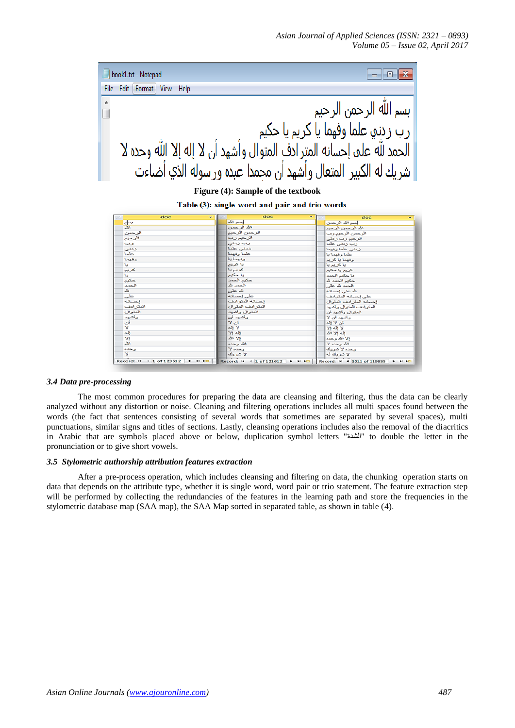

| doc<br>٠                                       | doc<br>٠                                        | doc                                                        |  |  |
|------------------------------------------------|-------------------------------------------------|------------------------------------------------------------|--|--|
| بساح                                           | بسم الله                                        | يسم الله الرحمن                                            |  |  |
| AZ.                                            | الله الرحمن                                     | الله الرحمن الرحيم                                         |  |  |
| الرحمن                                         | الرحمن الرحيم                                   | الرحمن الرحيم رب                                           |  |  |
| الرحيم                                         | الوحييم وب                                      | الرحيم رب زدني                                             |  |  |
| وب                                             | رب زدنی                                         | رب زدنی علما                                               |  |  |
| دىنى                                           | زدنى علما                                       | زدنى علما وفهما                                            |  |  |
| حقما                                           | علما وفهما                                      | علما وفهما يا                                              |  |  |
| وفهما                                          | وفهما وا                                        | وفهما ياكريم                                               |  |  |
| ч                                              | ياكريم                                          | یا کریم یا                                                 |  |  |
| كريم                                           | کریم یا                                         | كريم يا حكيم                                               |  |  |
| ъ                                              | یا حکیم                                         | يا حكيم الحمد                                              |  |  |
| حکيم                                           | حكيم الحمد                                      | حكيم الحمد لله                                             |  |  |
| الحمد                                          | الحمد نام                                       | الحمد لله على                                              |  |  |
| $\mathbf{A}$                                   | نائد على                                        | لله على إحسانه                                             |  |  |
| طي                                             | على إحسانه                                      | على إحسانه المترادف                                        |  |  |
| إحسائه                                         | إحسائه المثرادف                                 | إحسائه المترادف المتوال                                    |  |  |
| المترادف                                       | المترادف المتوال                                | المترادف المتوال وأشهد                                     |  |  |
| المتوال                                        | المتوال وأشهد                                   | العقوال وأشهد أن                                           |  |  |
| وأشهد                                          | وأشهد أن                                        | وأشهد أن لا                                                |  |  |
| أف                                             | ان لا                                           | آن لا إله                                                  |  |  |
| Ÿ                                              | 색보                                              | 医卵石                                                        |  |  |
| زنه                                            | $29 - 48$                                       | 山平山                                                        |  |  |
| Y)                                             | 24.23                                           | إلا الله وحده                                              |  |  |
| <b>AM</b>                                      | الله وحده                                       | الله وحده لا                                               |  |  |
| وبحده                                          | وحده لا                                         | وحده لا شريك                                               |  |  |
| $\mathbf{v}$                                   | لاعريك                                          | لا شريك له                                                 |  |  |
| $4$ 1 of 123512<br>$F = F1 - F2$<br>Record: 14 | Record: 14<br>$4$ 1 of 121612<br>$F = F1 - F12$ | Record: 14 4 1011 of 119855<br><b>M. MIDS</b><br>$\ddot{}$ |  |  |

## *3.4 Data pre-processing*

The most common procedures for preparing the data are cleansing and filtering, thus the data can be clearly analyzed without any distortion or noise. Cleaning and filtering operations includes all multi spaces found between the words (the fact that sentences consisting of several words that sometimes are separated by several spaces), multi punctuations, similar signs and titles of sections. Lastly, cleansing operations includes also the removal of the diacritics in Arabic that are symbols placed above or below, duplication symbol letters "الشدة" to double the letter in the pronunciation or to give short vowels.

## *3.5 Stylometric authorship attribution features extraction*

After a pre-process operation, which includes cleansing and filtering on data, the chunking operation starts on data that depends on the attribute type, whether it is single word, word pair or trio statement. The feature extraction step will be performed by collecting the redundancies of the features in the learning path and store the frequencies in the stylometric database map (SAA map), the SAA Map sorted in separated table, as shown in table (4).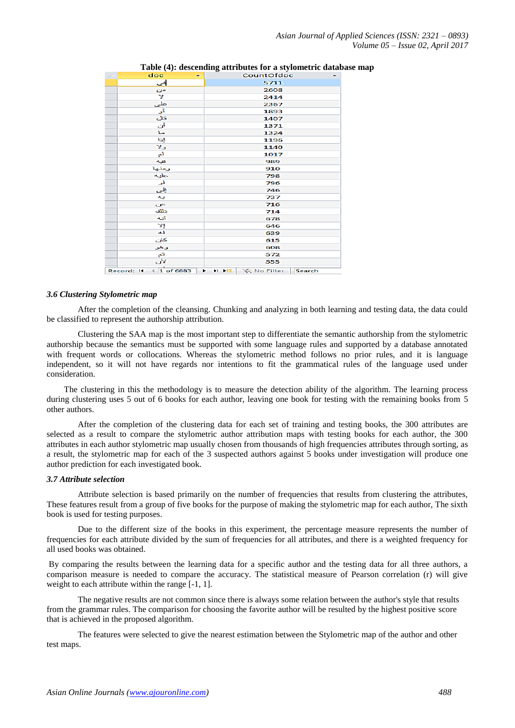| $\sim$ $\sim$<br>doc<br>$\overline{\phantom{a}}$ | ີ<br>CountOfdoc                 |  |  |  |  |  |
|--------------------------------------------------|---------------------------------|--|--|--|--|--|
| قى                                               | 5711                            |  |  |  |  |  |
| من                                               | 2608                            |  |  |  |  |  |
| $\mathbf{v}$                                     | 2414                            |  |  |  |  |  |
| على                                              | 2367                            |  |  |  |  |  |
| أی                                               | 1893                            |  |  |  |  |  |
| قال                                              | 1407                            |  |  |  |  |  |
| آت                                               | 1371                            |  |  |  |  |  |
| Le                                               | 1324                            |  |  |  |  |  |
| <b>KSI</b>                                       | 1196                            |  |  |  |  |  |
| $\mathbf{Y}_{\mathcal{S}}$                       | 1140                            |  |  |  |  |  |
| لم                                               | 1017                            |  |  |  |  |  |
| فيه                                              | 989                             |  |  |  |  |  |
| ومقها                                            | 910                             |  |  |  |  |  |
|                                                  | 798                             |  |  |  |  |  |
| ۔<br>علیہ<br>لو                                  | 796                             |  |  |  |  |  |
| إلى                                              | 746                             |  |  |  |  |  |
| فيبلط                                            | 737                             |  |  |  |  |  |
| عن                                               | 716                             |  |  |  |  |  |
| دأأف                                             | 714                             |  |  |  |  |  |
| أقه                                              | 678                             |  |  |  |  |  |
| ×.                                               | 646                             |  |  |  |  |  |
| اله                                              | 639                             |  |  |  |  |  |
| كان                                              | 615                             |  |  |  |  |  |
| وهو                                              | 608                             |  |  |  |  |  |
| اقع                                              | 572                             |  |  |  |  |  |
| لأن                                              | 555                             |  |  |  |  |  |
| Record: 14 4 1 of 6883                           | ▶ H H H \ \ No Filter<br>Search |  |  |  |  |  |

## **Table (4): descending attributes for a stylometric database map**

#### *3.6 Clustering Stylometric map*

After the completion of the cleansing. Chunking and analyzing in both learning and testing data, the data could be classified to represent the authorship attribution.

Clustering the SAA map is the most important step to differentiate the semantic authorship from the stylometric authorship because the semantics must be supported with some language rules and supported by a database annotated with frequent words or collocations. Whereas the stylometric method follows no prior rules, and it is language independent, so it will not have regards nor intentions to fit the grammatical rules of the language used under consideration.

 The clustering in this the methodology is to measure the detection ability of the algorithm. The learning process during clustering uses 5 out of 6 books for each author, leaving one book for testing with the remaining books from 5 other authors.

After the completion of the clustering data for each set of training and testing books, the 300 attributes are selected as a result to compare the stylometric author attribution maps with testing books for each author, the 300 attributes in each author stylometric map usually chosen from thousands of high frequencies attributes through sorting, as a result, the stylometric map for each of the 3 suspected authors against 5 books under investigation will produce one author prediction for each investigated book.

## *3.7 Attribute selection*

Attribute selection is based primarily on the number of frequencies that results from clustering the attributes, These features result from a group of five books for the purpose of making the stylometric map for each author, The sixth book is used for testing purposes.

Due to the different size of the books in this experiment, the percentage measure represents the number of frequencies for each attribute divided by the sum of frequencies for all attributes, and there is a weighted frequency for all used books was obtained.

By comparing the results between the learning data for a specific author and the testing data for all three authors, a comparison measure is needed to compare the accuracy. The statistical measure of Pearson correlation (r) will give weight to each attribute within the range  $[-1, 1]$ .

The negative results are not common since there is always some relation between the author's style that results from the grammar rules. The comparison for choosing the favorite author will be resulted by the highest positive score that is achieved in the proposed algorithm.

The features were selected to give the nearest estimation between the Stylometric map of the author and other test maps.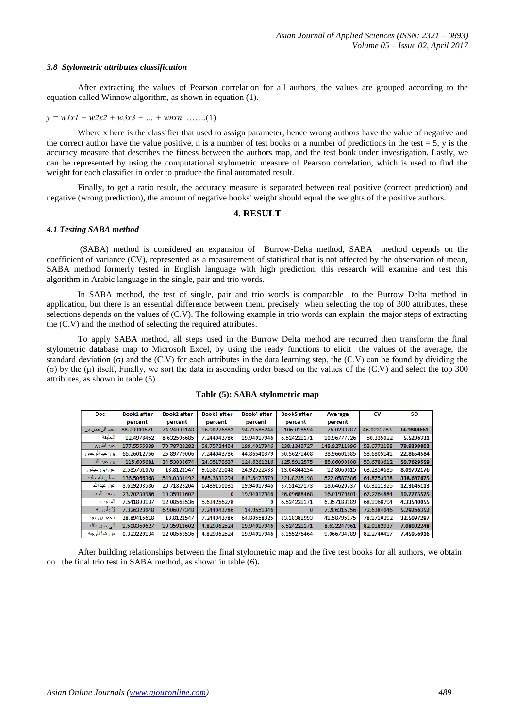#### *3.8 Stylometric attributes classification*

After extracting the values of Pearson correlation for all authors, the values are grouped according to the equation called Winnow algorithm, as shown in equation (1).

$$
y = w/xI + w2x2 + w3x3 + \dots + wnxn \quad \dots \dots (1)
$$

Where x here is the classifier that used to assign parameter, hence wrong authors have the value of negative and the correct author have the value positive, n is a number of test books or a number of predictions in the test  $= 5$ , y is the accuracy measure that describes the fitness between the authors map, and the test book under investigation. Lastly, we can be represented by using the computational stylometric measure of Pearson correlation, which is used to find the weight for each classifier in order to produce the final automated result.

Finally, to get a ratio result, the accuracy measure is separated between real positive (correct prediction) and negative (wrong prediction), the amount of negative books' weight should equal the weights of the positive authors.

# **4. RESULT**

#### *4.1 Testing SABA method*

(SABA) method is considered an expansion of Burrow-Delta method, SABA method depends on the coefficient of variance (CV), represented as a measurement of statistical that is not affected by the observation of mean, SABA method formerly tested in English language with high prediction, this research will examine and test this algorithm in Arabic language in the single, pair and trio words.

In SABA method, the test of single, pair and trio words is comparable to the Burrow Delta method in application, but there is an essential difference between them, precisely when selecting the top of 300 attributes, these selections depends on the values of (C.V). The following example in trio words can explain the major steps of extracting the (C.V) and the method of selecting the required attributes.

To apply SABA method, all steps used in the Burrow Delta method are recurred then transform the final stylometric database map to Microsoft Excel, by using the ready functions to elicit the values of the average, the standard deviation  $(\sigma)$  and the (C.V) for each attributes in the data learning step, the (C.V) can be found by dividing the (σ) by the (μ) itself, Finally, we sort the data in ascending order based on the values of the (C.V) and select the top 300 attributes, as shown in table (5).

| <b>Doc</b>    | <b>Book1</b> after | <b>Book2</b> after | <b>Book3</b> after | <b>Book4</b> after | <b>Book5</b> after | Average      | <b>CV</b>  | SD         |
|---------------|--------------------|--------------------|--------------------|--------------------|--------------------|--------------|------------|------------|
|               | percent            | percent            | percent            | percent            | percent            | percent      |            |            |
| عبد الرحمن بن | 88.23909671        | 74.24033148        | 16.90276883        | 94.71585244        | 106.018594         | 76.0233287   | 46.0233283 | 34.9884661 |
| الخليفة       | 12.4978452         | 8.632596685        | 7.244043786        | 19.94017946        | 6.524221171        | 10.96777726  | 50.335022  | 5.5206331  |
| عبد الله بن   | 177.5555939        | 70.78729282        | 58.75724404        | 199.4017946        | 238.1340727        | 148.92711996 | 53.6772198 | 79.9399803 |
| ين عبد الرحمن | 66.26012756        | 25.89779006        | 7.244043786        | 44.86540379        | 50.56271408        | 38.96601585  | 58.6805141 | 22.8654584 |
| این عبدالله   | 115.605681         | 34.53038674        | 24.95170637        | 124.6261216        | 125.5912575        | 85.06090808  | 59.6783612 | 50.7629559 |
| اعن این عباس  | 2.585761076        | 13.8121547         | 9.658725048        | 24.92522433        | 13.04844234        | 12.8060615   | 63.2350685 | 8.09792176 |
| صلى الله عليه | 136.5066368        | 549.0331492        | 885.3831294        | 817.5473579        | 221.8235198        | 522.0587586  | 64.8753938 | 338.687675 |
| عن عبدالله    | 8.619203586        | 20.71823204        | 6.439150032        | 19.94017946        | 37.51427173        | 18.64620737  | 66.3111325 | 12.3645113 |
| وعبد الله بن  | 23.70280986        | 10.35911602        | $\Omega$           | 19.94017946        | 26.09688468        | 16.01979801  | 67.2764884 | 10.7775575 |
| المسيب        | 7.541803137        | 12.08563536        | 5.634256278        | O                  | 6.524221171        | 6.357183189  | 68.1968794 | 4.33540055 |
| لا باس به     | 7.326323048        | 6.906077348        | 7.244043786        | 14.9551346         | $\Omega$           | 7.286315756  | 72.6384046 | 5.29266352 |
| محمد بن عبد   | 38.89415618        | 13.8121547         | 7.244043786        | 64.80558325        | 83.18381993        | 41.58795175  | 78.1710292 | 32.5097297 |
| الے غیر ذلك   | 1.508360627        | 10.35911602        | 4.829362524        | 19.94017946        | 6.524221171        | 8.632247961  | 82.0182937 | 7.08002248 |
| من هذا الوجه  | 0.323220134        | 12.08563536        | 4.829362524        | 19.94017946        | 8.155276464        | 9.066734789  | 82.2740417 | 7.45956916 |

#### **Table (5): SABA stylometric map**

After building relationships between the final stylometric map and the five test books for all authors, we obtain on the final trio test in SABA method, as shown in table (6).